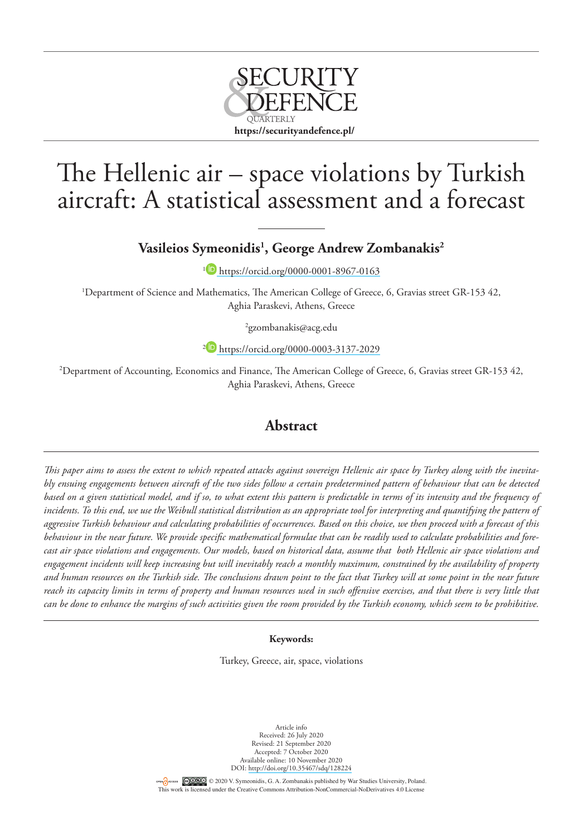

# The Hellenic air – space violations by Turkish aircraft: A statistical assessment and a forecast

**Vasileios Symeonidis1 , George Andrew Zombanakis2**

<sup>1</sup> <https://orcid.org/0000-0001-8967-0163>

1 Department of Science and Mathematics, The American College of Greece, 6, Gravias street GR-153 42, Aghia Paraskevi, Athens, Greece

2 gzombanakis@acg.edu

<sup>2</sup> <https://orcid.org/0000-0003-3137-2029>

2 Department of Accounting, Economics and Finance, The American College of Greece, 6, Gravias street GR-153 42, Aghia Paraskevi, Athens, Greece

### **Abstract**

*This paper aims to assess the extent to which repeated attacks against sovereign Hellenic air space by Turkey along with the inevitably ensuing engagements between aircraft of the two sides follow a certain predetermined pattern of behaviour that can be detected*  based on a given statistical model, and if so, to what extent this pattern is predictable in terms of its intensity and the frequency of *incidents. To this end, we use the Weibull statistical distribution as an appropriate tool for interpreting and quantifying the pattern of aggressive Turkish behaviour and calculating probabilities of occurrences. Based on this choice, we then proceed with a forecast of this behaviour in the near future. We provide specific mathematical formulae that can be readily used to calculate probabilities and forecast air space violations and engagements. Our models, based on historical data, assume that both Hellenic air space violations and engagement incidents will keep increasing but will inevitably reach a monthly maximum, constrained by the availability of property and human resources on the Turkish side. The conclusions drawn point to the fact that Turkey will at some point in the near future reach its capacity limits in terms of property and human resources used in such offensive exercises, and that there is very little that can be done to enhance the margins of such activities given the room provided by the Turkish economy, which seem to be prohibitive.*

#### **Keywords:**

Turkey, Greece, air, space, violations

Article info Received: 26 July 2020 Revised: 21 September 2020 Accepted: 7 October 2020 Available online: 10 November 2020 DOI: <http://doi.org/10.35467/sdq/128224>

OFENCIACCESS COLOGO © 2020 V. Symeonidis, G. A. Zombanakis published by War Studies University, Poland. This work is licensed under the Creative Commons Attribution-NonCommercial-NoDerivatives 4.0 License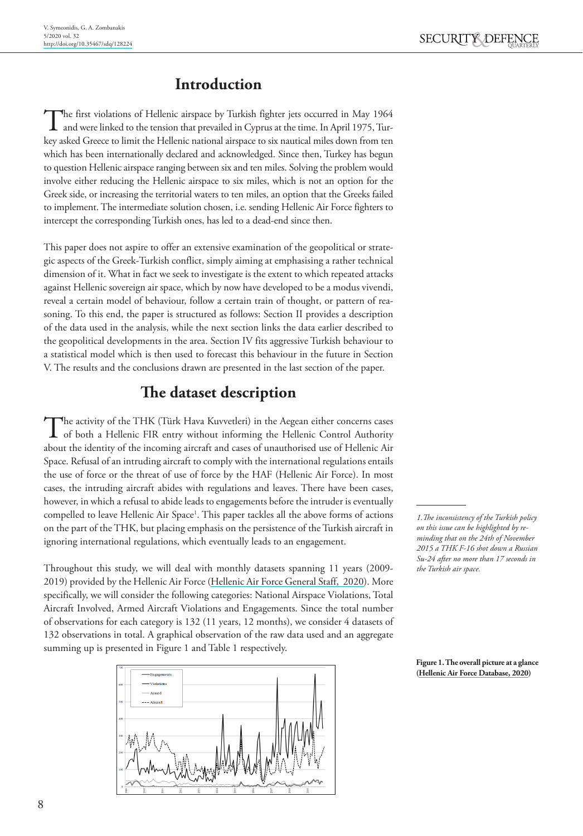# **Introduction**

The first violations of Hellenic airspace by Turkish fighter jets occurred in May 1964 and were linked to the tension that prevailed in Cyprus at the time. In April 1975, Turkey asked Greece to limit the Hellenic national airspace to six nautical miles down from ten which has been internationally declared and acknowledged. Since then, Turkey has begun to question Hellenic airspace ranging between six and ten miles. Solving the problem would involve either reducing the Hellenic airspace to six miles, which is not an option for the Greek side, or increasing the territorial waters to ten miles, an option that the Greeks failed to implement. The intermediate solution chosen, i.e. sending Hellenic Air Force fighters to intercept the corresponding Turkish ones, has led to a dead-end since then.

This paper does not aspire to offer an extensive examination of the geopolitical or strategic aspects of the Greek-Turkish conflict, simply aiming at emphasising a rather technical dimension of it. What in fact we seek to investigate is the extent to which repeated attacks against Hellenic sovereign air space, which by now have developed to be a modus vivendi, reveal a certain model of behaviour, follow a certain train of thought, or pattern of reasoning. To this end, the paper is structured as follows: Section II provides a description of the data used in the analysis, while the next section links the data earlier described to the geopolitical developments in the area. Section IV fits aggressive Turkish behaviour to a statistical model which is then used to forecast this behaviour in the future in Section V. The results and the conclusions drawn are presented in the last section of the paper.

# **The dataset description**

The activity of the THK (Türk Hava Kuvvetleri) in the Aegean either concerns cases of both a Hellenic FIR entry without informing the Hellenic Control Authority about the identity of the incoming aircraft and cases of unauthorised use of Hellenic Air Space. Refusal of an intruding aircraft to comply with the international regulations entails the use of force or the threat of use of force by the HAF (Hellenic Air Force). In most cases, the intruding aircraft abides with regulations and leaves. There have been cases, however, in which a refusal to abide leads to engagements before the intruder is eventually compelled to leave Hellenic Air Space1 . This paper tackles all the above forms of actions on the part of the THK, but placing emphasis on the persistence of the Turkish aircraft in ignoring international regulations, which eventually leads to an engagement.

Throughout this study, we will deal with monthly datasets spanning 11 years (2009- 2019) provided by the Hellenic Air Force (Hellenic Air Force General Staff, 2020). More specifically, we will consider the following categories: National Airspace Violations, Total Aircraft Involved, Armed Aircraft Violations and Engagements. Since the total number of observations for each category is 132 (11 years, 12 months), we consider 4 datasets of 132 observations in total. A graphical observation of the raw data used and an aggregate summing up is presented in Figure 1 and Table 1 respectively.



*1.The inconsistency of the Turkish policy on this issue can be highlighted by reminding that on the 24th of November 2015 a THK F-16 shot down a Russian Su-24 after no more than 17 seconds in the Turkish air space.*

**Figure 1. The overall picture at a glance (Hellenic Air Force Database, 2020)**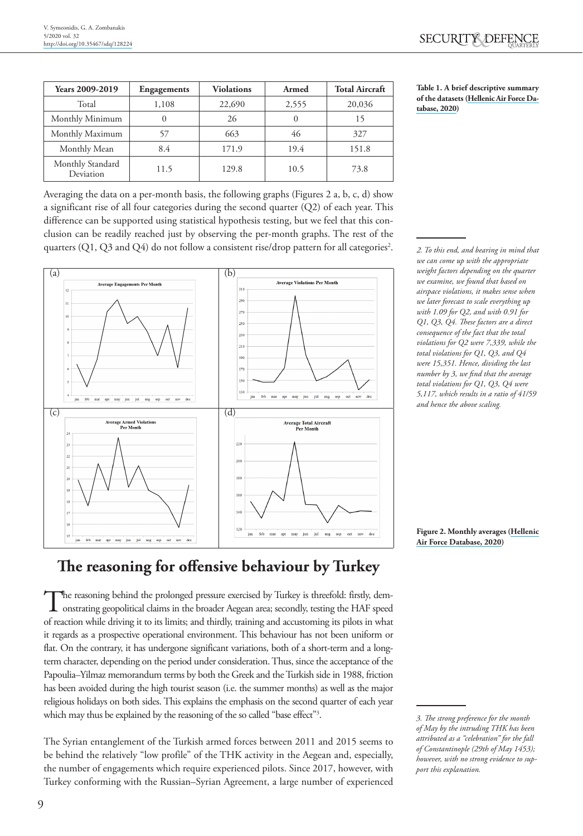| Years 2009-2019               | <b>Engagements</b> | <b>Violations</b> | Armed    | <b>Total Aircraft</b> |
|-------------------------------|--------------------|-------------------|----------|-----------------------|
| Total                         | 1,108              | 22,690            | 2,555    | 20,036                |
| Monthly Minimum               | $_{0}$             | 26                | $\theta$ | 15                    |
| Monthly Maximum               | 57                 | 663               | 46       | 327                   |
| Monthly Mean                  | 8.4                | 171.9             | 19.4     | 151.8                 |
| Monthly Standard<br>Deviation | 11.5               | 129.8             | 10.5     | 73.8                  |

**Table 1. A brief descriptive summary of the datasets (Hellenic Air Force Database, 2020)**

Averaging the data on a per-month basis, the following graphs (Figures 2 a, b, c, d) show a significant rise of all four categories during the second quarter (Q2) of each year. This difference can be supported using statistical hypothesis testing, but we feel that this conclusion can be readily reached just by observing the per-month graphs. The rest of the quarters (Q1, Q3 and Q4) do not follow a consistent rise/drop pattern for all categories<sup>2</sup>.



*2. To this end, and bearing in mind that we can come up with the appropriate weight factors depending on the quarter we examine, we found that based on airspace violations, it makes sense when we later forecast to scale everything up with 1.09 for Q2, and with 0.91 for Q1, Q3, Q4. These factors are a direct consequence of the fact that the total violations for Q2 were 7,339, while the total violations for Q1, Q3, and Q4 were 15,351. Hence, dividing the last number by 3, we find that the average total violations for Q1, Q3, Q4 were 5,117, which results in a ratio of 41/59 and hence the above scaling.* 

# **The reasoning for offensive behaviour by Turkey**

The reasoning behind the prolonged pressure exercised by Turkey is threefold: firstly, dem-<br>onstrating geopolitical claims in the broader Aegean area; secondly, testing the HAF speed of reaction while driving it to its limits; and thirdly, training and accustoming its pilots in what it regards as a prospective operational environment. This behaviour has not been uniform or flat. On the contrary, it has undergone significant variations, both of a short-term and a longterm character, depending on the period under consideration. Thus, since the acceptance of the Papoulia–Yilmaz memorandum terms by both the Greek and the Turkish side in 1988, friction has been avoided during the high tourist season (i.e. the summer months) as well as the major religious holidays on both sides. This explains the emphasis on the second quarter of each year which may thus be explained by the reasoning of the so called "base effect"3 .

The Syrian entanglement of the Turkish armed forces between 2011 and 2015 seems to be behind the relatively "low profile" of the THK activity in the Aegean and, especially, the number of engagements which require experienced pilots. Since 2017, however, with Turkey conforming with the Russian–Syrian Agreement, a large number of experienced

**Figure 2. Monthly averages (Hellenic Air Force Database, 2020)**

*<sup>3.</sup> The strong preference for the month of May by the intruding THK has been attributed as a "celebration" for the fall of Constantinople (29th of May 1453); however, with no strong evidence to support this explanation.*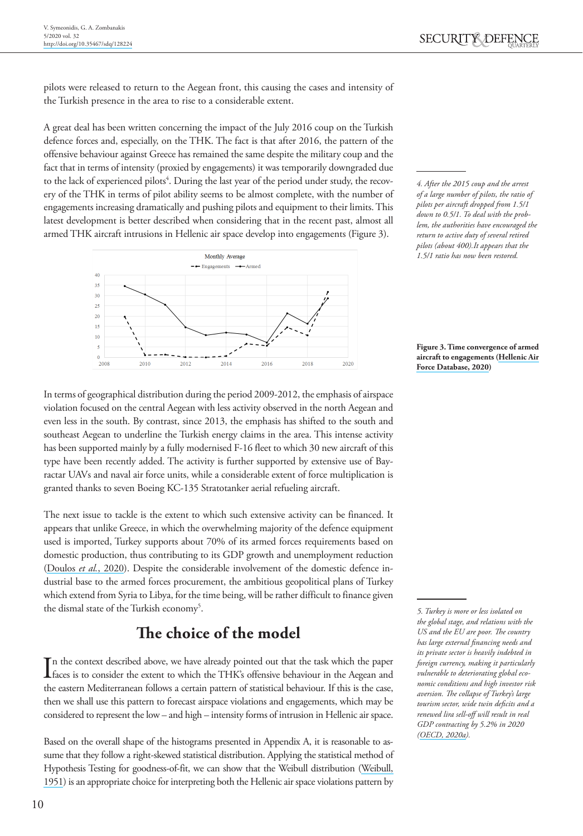pilots were released to return to the Aegean front, this causing the cases and intensity of the Turkish presence in the area to rise to a considerable extent.

A great deal has been written concerning the impact of the July 2016 coup on the Turkish defence forces and, especially, on the THK. The fact is that after 2016, the pattern of the offensive behaviour against Greece has remained the same despite the military coup and the fact that in terms of intensity (proxied by engagements) it was temporarily downgraded due to the lack of experienced pilots<sup>4</sup>. During the last year of the period under study, the recovery of the THK in terms of pilot ability seems to be almost complete, with the number of engagements increasing dramatically and pushing pilots and equipment to their limits. This latest development is better described when considering that in the recent past, almost all armed THK aircraft intrusions in Hellenic air space develop into engagements (Figure 3).



*4. After the 2015 coup and the arrest of a large number of pilots, the ratio of pilots per aircraft dropped from 1.5/1 down to 0.5/1. To deal with the problem, the authorities have encouraged the return to active duty of several retired pilots (about 400).It appears that the 1.5/1 ratio has now been restored.*

**Figure 3. Time convergence of armed aircraft to engagements (Hellenic Air Force Database, 2020)**

In terms of geographical distribution during the period 2009-2012, the emphasis of airspace violation focused on the central Aegean with less activity observed in the north Aegean and even less in the south. By contrast, since 2013, the emphasis has shifted to the south and southeast Aegean to underline the Turkish energy claims in the area. This intense activity has been supported mainly by a fully modernised F-16 fleet to which 30 new aircraft of this type have been recently added. The activity is further supported by extensive use of Bayractar UAVs and naval air force units, while a considerable extent of force multiplication is granted thanks to seven Boeing KC-135 Stratotanker aerial refueling aircraft.

The next issue to tackle is the extent to which such extensive activity can be financed. It appears that unlike Greece, in which the overwhelming majority of the defence equipment used is imported, Turkey supports about 70% of its armed forces requirements based on domestic production, thus contributing to its GDP growth and unemployment reduction (Doulos *et al.*, 2020). Despite the considerable involvement of the domestic defence industrial base to the armed forces procurement, the ambitious geopolitical plans of Turkey which extend from Syria to Libya, for the time being, will be rather difficult to finance given the dismal state of the Turkish economy<sup>5</sup>.

# **The choice of the model**

In the context described above, we have already pointed out that the task which the paper<br>faces is to consider the extent to which the THK's offensive behaviour in the Aegean and n the context described above, we have already pointed out that the task which the paper the eastern Mediterranean follows a certain pattern of statistical behaviour. If this is the case, then we shall use this pattern to forecast airspace violations and engagements, which may be considered to represent the low – and high – intensity forms of intrusion in Hellenic air space.

Based on the overall shape of the histograms presented in Appendix A, it is reasonable to assume that they follow a right-skewed statistical distribution. Applying the statistical method of Hypothesis Testing for goodness-of-fit, we can show that the Weibull distribution (Weibull, 1951) is an appropriate choice for interpreting both the Hellenic air space violations pattern by

*5. Turkey is more or less isolated on the global stage, and relations with the US and the EU are poor. The country has large external financing needs and its private sector is heavily indebted in foreign currency, making it particularly vulnerable to deteriorating global economic conditions and high investor risk aversion. The collapse of Turkey's large tourism sector, wide twin deficits and a renewed lira sell-off will result in real GDP contracting by 5.2% in 2020 (OECD, 2020a).*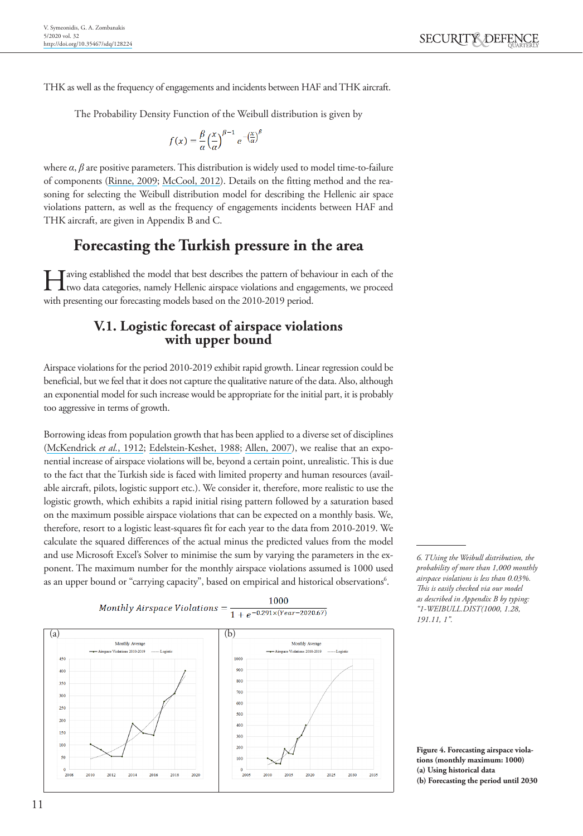THK as well as the frequency of engagements and incidents between HAF and THK aircraft.

The Probability Density Function of the Weibull distribution is given by

$$
f(x) = \frac{\beta}{\alpha} \left(\frac{x}{\alpha}\right)^{\beta-1} e^{-\left(\frac{x}{\alpha}\right)^{\beta}}
$$

where  $\alpha$ ,  $\beta$  are positive parameters. This distribution is widely used to model time-to-failure of components (Rinne, 2009; McCool, 2012). Details on the fitting method and the reasoning for selecting the Weibull distribution model for describing the Hellenic air space violations pattern, as well as the frequency of engagements incidents between HAF and THK aircraft, are given in Appendix B and C.

## **Forecasting the Turkish pressure in the area**

Having established the model that best describes the pattern of behaviour in each of the two data categories, namely Hellenic airspace violations and engagements, we proceed with presenting our forecasting models based on the 2010-2019 period.

# **V.1. Logistic forecast of airspace violations with upper bound**

Airspace violations for the period 2010-2019 exhibit rapid growth. Linear regression could be beneficial, but we feel that it does not capture the qualitative nature of the data. Also, although an exponential model for such increase would be appropriate for the initial part, it is probably too aggressive in terms of growth.

Borrowing ideas from population growth that has been applied to a diverse set of disciplines (McKendrick *et al.*, 1912; Edelstein-Keshet, 1988; Allen, 2007), we realise that an exponential increase of airspace violations will be, beyond a certain point, unrealistic. This is due to the fact that the Turkish side is faced with limited property and human resources (available aircraft, pilots, logistic support etc.). We consider it, therefore, more realistic to use the logistic growth, which exhibits a rapid initial rising pattern followed by a saturation based on the maximum possible airspace violations that can be expected on a monthly basis. We, therefore, resort to a logistic least-squares fit for each year to the data from 2010-2019. We calculate the squared differences of the actual minus the predicted values from the model and use Microsoft Excel's Solver to minimise the sum by varying the parameters in the exponent. The maximum number for the monthly airspace violations assumed is 1000 used as an upper bound or "carrying capacity", based on empirical and historical observations<sup>6</sup>.



*6. TUsing the Weibull distribution, the probability of more than 1,000 monthly airspace violations is less than 0.03%. This is easily checked via our model as described in Appendix B by typing: "1-WEIBULL.DIST(1000, 1.28, 191.11, 1".*

**Figure 4. Forecasting airspace violations (monthly maximum: 1000) (a) Using historical data (b) Forecasting the period until 2030**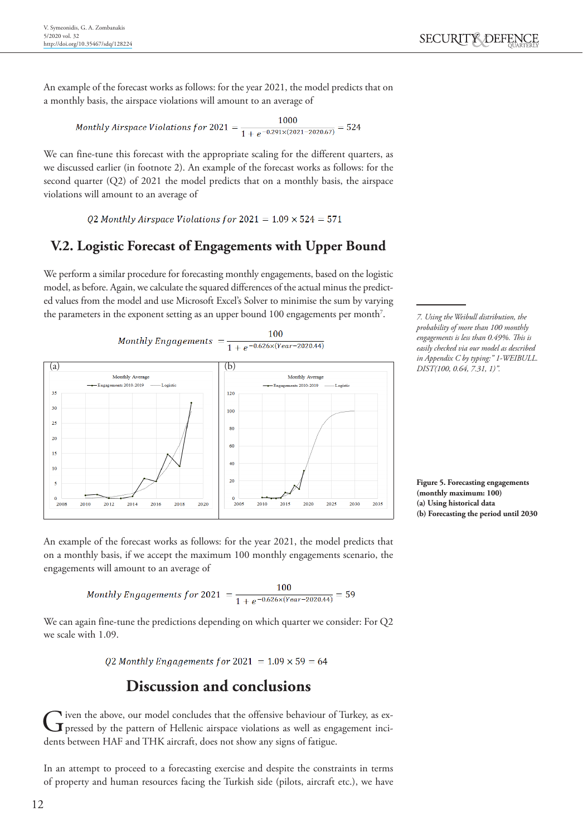An example of the forecast works as follows: for the year 2021, the model predicts that on a monthly basis, the airspace violations will amount to an average of

Monthly Airspace Violations for 
$$
2021 = \frac{1000}{1 + e^{-0.291 \times (2021 - 2020.67)}} = 524
$$

We can fine-tune this forecast with the appropriate scaling for the different quarters, as we discussed earlier (in footnote 2). An example of the forecast works as follows: for the second quarter (Q2) of 2021 the model predicts that on a monthly basis, the airspace violations will amount to an average of

Q2 Monthly Airspace Violations for  $2021 = 1.09 \times 524 = 571$ 

### **V.2. Logistic Forecast of Engagements with Upper Bound**

We perform a similar procedure for forecasting monthly engagements, based on the logistic model, as before. Again, we calculate the squared differences of the actual minus the predicted values from the model and use Microsoft Excel's Solver to minimise the sum by varying the parameters in the exponent setting as an upper bound 100 engagements per month<sup>7</sup>.

100

**Monthly Engagements**  $\frac{1}{1+e^{-0.626 \times (Year-2020.44)}}$ 



*7. Using the Weibull distribution, the probability of more than 100 monthly engagements is less than 0.49%. This is easily checked via our model as described in Appendix C by typing:" 1-WEIBULL. DIST(100, 0.64, 7.31, 1)".*

**Figure 5. Forecasting engagements (monthly maximum: 100) (a) Using historical data (b) Forecasting the period until 2030**

An example of the forecast works as follows: for the year 2021, the model predicts that on a monthly basis, if we accept the maximum 100 monthly engagements scenario, the engagements will amount to an average of

Monthly Engineers for 2021 = 
$$
\frac{100}{1 + e^{-0.626 \times (Year - 2020.44)}} = 59
$$

We can again fine-tune the predictions depending on which quarter we consider: For Q2 we scale with 1.09.

Q2 Monthly Engagements for  $2021 = 1.09 \times 59 = 64$ 

## **Discussion and conclusions**

Given the above, our model concludes that the offensive behaviour of Turkey, as ex-<br>pressed by the pattern of Hellenic airspace violations as well as engagement incidents between HAF and THK aircraft, does not show any signs of fatigue.

In an attempt to proceed to a forecasting exercise and despite the constraints in terms of property and human resources facing the Turkish side (pilots, aircraft etc.), we have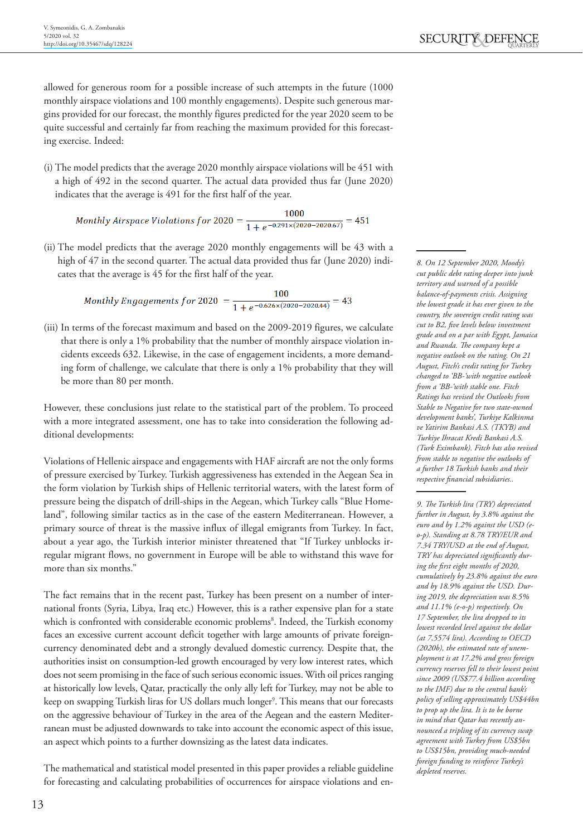allowed for generous room for a possible increase of such attempts in the future (1000 monthly airspace violations and 100 monthly engagements). Despite such generous margins provided for our forecast, the monthly figures predicted for the year 2020 seem to be quite successful and certainly far from reaching the maximum provided for this forecasting exercise. Indeed:

(i) The model predicts that the average 2020 monthly airspace violations will be 451 with a high of 492 in the second quarter. The actual data provided thus far (June 2020) indicates that the average is 491 for the first half of the year.

1000  $\textit{Monthly Airspace Violations for 2020} = \frac{1000}{1+e^{-0.291\times(2020-2020.67)}} = 451$ 

(ii) The model predicts that the average 2020 monthly engagements will be 43 with a high of 47 in the second quarter. The actual data provided thus far (June 2020) indicates that the average is 45 for the first half of the year.

Monthly Engagements for 2020 =  $\frac{100}{1+e^{-0.626 \times (2020-2020.44)}}$  = 43

(iii) In terms of the forecast maximum and based on the 2009-2019 figures, we calculate that there is only a 1% probability that the number of monthly airspace violation incidents exceeds 632. Likewise, in the case of engagement incidents, a more demanding form of challenge, we calculate that there is only a 1% probability that they will be more than 80 per month.

However, these conclusions just relate to the statistical part of the problem. To proceed with a more integrated assessment, one has to take into consideration the following additional developments:

Violations of Hellenic airspace and engagements with HAF aircraft are not the only forms of pressure exercised by Turkey. Turkish aggressiveness has extended in the Aegean Sea in the form violation by Turkish ships of Hellenic territorial waters, with the latest form of pressure being the dispatch of drill-ships in the Aegean, which Turkey calls "Blue Homeland", following similar tactics as in the case of the eastern Mediterranean. However, a primary source of threat is the massive influx of illegal emigrants from Turkey. In fact, about a year ago, the Turkish interior minister threatened that "If Turkey unblocks irregular migrant flows, no government in Europe will be able to withstand this wave for more than six months."

The fact remains that in the recent past, Turkey has been present on a number of international fronts (Syria, Libya, Iraq etc.) However, this is a rather expensive plan for a state which is confronted with considerable economic problems<sup>8</sup>. Indeed, the Turkish economy faces an excessive current account deficit together with large amounts of private foreigncurrency denominated debt and a strongly devalued domestic currency. Despite that, the authorities insist on consumption-led growth encouraged by very low interest rates, which does not seem promising in the face of such serious economic issues. With oil prices ranging at historically low levels, Qatar, practically the only ally left for Turkey, may not be able to keep on swapping Turkish liras for US dollars much longer<sup>9</sup>. This means that our forecasts on the aggressive behaviour of Turkey in the area of the Aegean and the eastern Mediterranean must be adjusted downwards to take into account the economic aspect of this issue, an aspect which points to a further downsizing as the latest data indicates.

The mathematical and statistical model presented in this paper provides a reliable guideline for forecasting and calculating probabilities of occurrences for airspace violations and en-

*8. On 12 September 2020, Moody's cut public debt rating deeper into junk territory and warned of a possible balance-of-payments crisis. Assigning the lowest grade it has ever given to the country, the sovereign credit rating was cut to B2, five levels below investment grade and on a par with Egypt, Jamaica and Rwanda. The company kept a negative outlook on the rating. On 21 August, Fitch's credit rating for Turkey changed to 'BB-'with negative outlook from a 'BB-'with stable one. Fitch Ratings has revised the Outlooks from Stable to Negative for two state-owned development banks', Turkiye Kalkinma ve Yatirim Bankasi A.S. (TKYB) and Turkiye Ihracat Kredi Bankasi A.S. (Turk Eximbank). Fitch has also revised from stable to negative the outlooks of a further 18 Turkish banks and their respective financial subsidiaries..* 

*9. The Turkish lira (TRY) depreciated further in August, by 3.8% against the euro and by 1.2% against the USD (eo-p). Standing at 8.78 TRY/EUR and 7.34 TRY/USD at the end of August, TRY has depreciated significantly during the first eight months of 2020, cumulatively by 23.8% against the euro and by 18.9% against the USD. During 2019, the depreciation was 8.5% and 11.1% (e-o-p) respectively. On 17 September, the lira dropped to its lowest recorded level against the dollar (at 7,5574 lira). According to OECD (2020b), the estimated rate of unemployment is at 17.2% and gross foreign currency reserves fell to their lowest point since 2009 (US\$77.4 billion according to the IMF) due to the central bank's policy of selling approximately US\$44bn to prop up the lira. It is to be borne in mind that Qatar has recently announced a tripling of its currency swap agreement with Turkey from US\$5bn to US\$15bn, providing much-needed foreign funding to reinforce Turkey's depleted reserves.*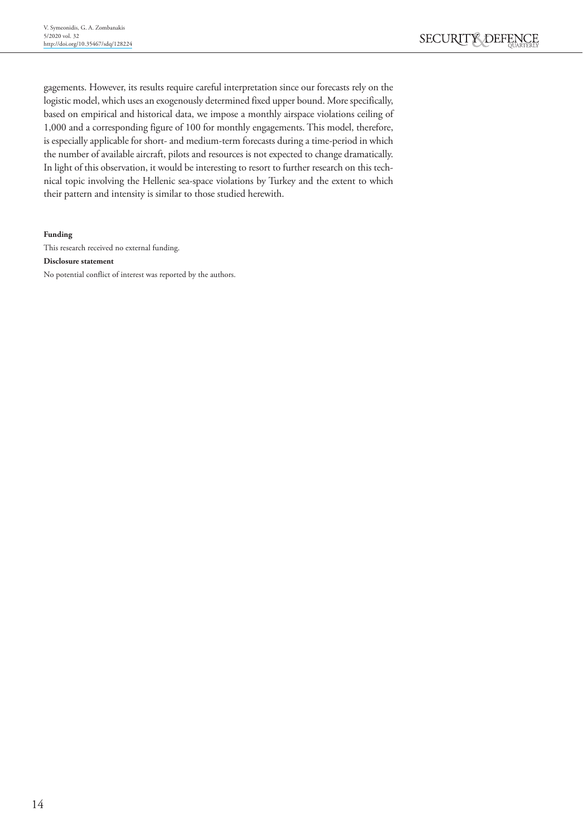gagements. However, its results require careful interpretation since our forecasts rely on the logistic model, which uses an exogenously determined fixed upper bound. More specifically, based on empirical and historical data, we impose a monthly airspace violations ceiling of 1,000 and a corresponding figure of 100 for monthly engagements. This model, therefore, is especially applicable for short- and medium-term forecasts during a time-period in which the number of available aircraft, pilots and resources is not expected to change dramatically. In light of this observation, it would be interesting to resort to further research on this technical topic involving the Hellenic sea-space violations by Turkey and the extent to which their pattern and intensity is similar to those studied herewith.

#### **Funding**

This research received no external funding.

#### **Disclosure statement**

No potential conflict of interest was reported by the authors.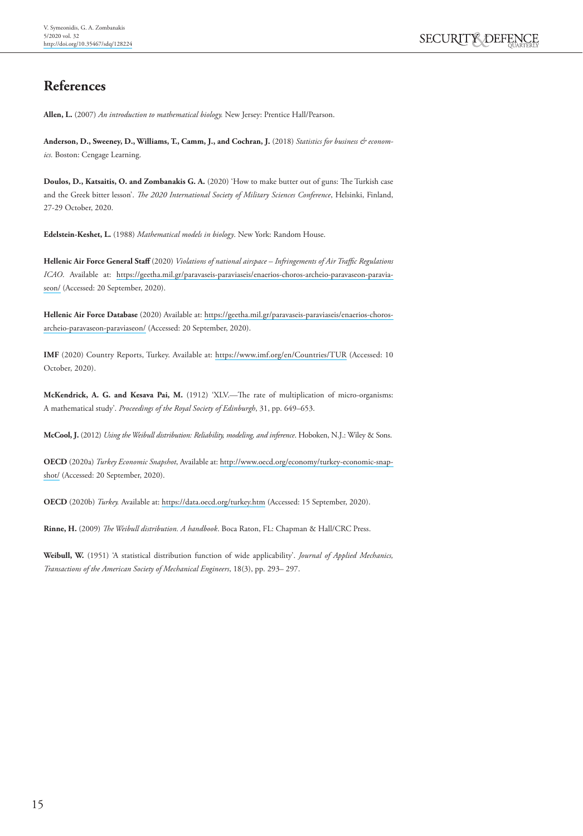## **References**

**Allen, L.** (2007) *An introduction to mathematical biology.* New Jersey: Prentice Hall/Pearson.

**Anderson, D., Sweeney, D., Williams, T., Camm, J., and Cochran, J.** (2018) *Statistics for business & economics.* Boston: Cengage Learning.

**Doulos, D., Katsaitis, O. and Zombanakis G. A.** (2020) 'How to make butter out of guns: The Turkish case and the Greek bitter lesson'. *The 2020 International Society of Military Sciences Conference*, Helsinki, Finland, 27-29 October, 2020.

**Edelstein-Keshet, L.** (1988) *Mathematical models in biology*. New York: Random House.

**Hellenic Air Force General Staff** (2020) *Violations of national airspace – Infringements of Air Traffic Regulations ICAO*. Available at: [https://geetha.mil.gr/paravaseis-paraviaseis/enaerios-choros-archeio-paravaseon-paravia](https://geetha.mil.gr/paravaseis-paraviaseis/enaerios-choros-archeio-paravaseon-paraviaseon/)[seon/](https://geetha.mil.gr/paravaseis-paraviaseis/enaerios-choros-archeio-paravaseon-paraviaseon/) (Accessed: 20 September, 2020).

**Hellenic Air Force Database** (2020) Available at: [https://geetha.mil.gr/paravaseis-paraviaseis/enaerios-choros](https://geetha.mil.gr/paravaseis-paraviaseis/enaerios-choros-archeio-paravaseon-paraviaseon/ )[archeio-paravaseon-paraviaseon/](https://geetha.mil.gr/paravaseis-paraviaseis/enaerios-choros-archeio-paravaseon-paraviaseon/ ) (Accessed: 20 September, 2020).

**IMF** (2020) Country Reports, Turkey. Available at: <https://www.imf.org/en/Countries/TUR> (Accessed: 10 October, 2020).

**McKendrick, A. G. and Kesava Pai, M.** (1912) 'XLV.—The rate of multiplication of micro-organisms: A mathematical study'. *Proceedings of the Royal Society of Edinburgh*, 31, pp. 649–653.

**McCool, J.** (2012) *Using the Weibull distribution: Reliability, modeling, and inference*. Hoboken, N.J.: Wiley & Sons.

**OECD** (2020a) *Turkey Economic Snapshot*, Available at: [http://www.oecd.org/economy/turkey-economic-snap](http://www.oecd.org/economy/turkey-economic-snapshot/)[shot/](http://www.oecd.org/economy/turkey-economic-snapshot/) (Accessed: 20 September, 2020).

**OECD** (2020b) *Turkey.* Available at:<https://data.oecd.org/turkey.htm> (Accessed: 15 September, 2020).

**Rinne, H.** (2009) *The Weibull distribution. A handbook*. Boca Raton, FL: Chapman & Hall/CRC Press.

**Weibull, W.** (1951) 'A statistical distribution function of wide applicability'. *Journal of Applied Mechanics, Transactions of the American Society of Mechanical Engineers*, 18(3), pp. 293– 297.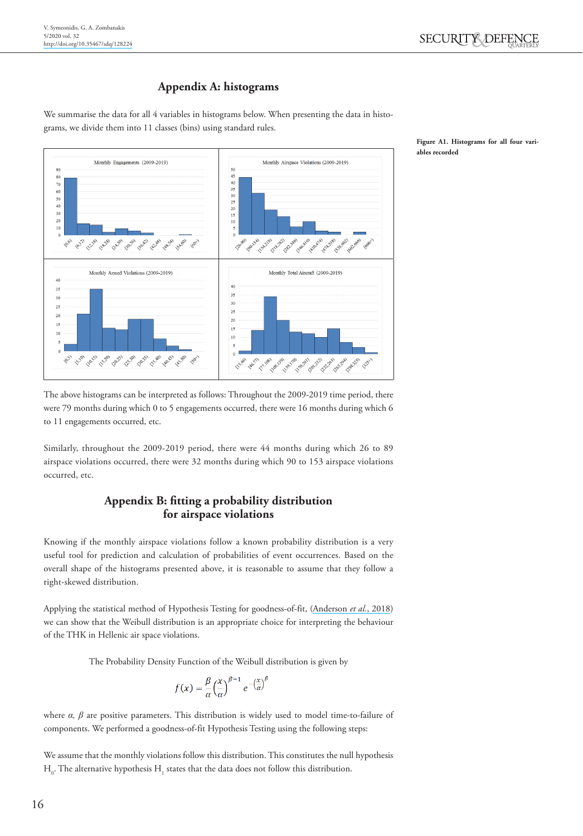#### **Appendix A: histograms**

We summarise the data for all 4 variables in histograms below. When presenting the data in histograms, we divide them into 11 classes (bins) using standard rules.



**Figure A1. Histograms for all four variables recorded**

The above histograms can be interpreted as follows: Throughout the 2009-2019 time period, there were 79 months during which 0 to 5 engagements occurred, there were 16 months during which 6 to 11 engagements occurred, etc.

Similarly, throughout the 2009-2019 period, there were 44 months during which 26 to 89 airspace violations occurred, there were 32 months during which 90 to 153 airspace violations occurred, etc.

#### **Appendix B: fitting a probability distribution for airspace violations**

Knowing if the monthly airspace violations follow a known probability distribution is a very useful tool for prediction and calculation of probabilities of event occurrences. Based on the overall shape of the histograms presented above, it is reasonable to assume that they follow a right-skewed distribution.

Applying the statistical method of Hypothesis Testing for goodness-of-fit, (Anderson *et al.*, 2018) we can show that the Weibull distribution is an appropriate choice for interpreting the behaviour of the THK in Hellenic air space violations.

The Probability Density Function of the Weibull distribution is given by

$$
f(x) = \frac{\beta}{\alpha} \left(\frac{x}{\alpha}\right)^{\beta-1} e^{-\left(\frac{x}{\alpha}\right)^{\beta}}
$$

where *α, β* are positive parameters. This distribution is widely used to model time-to-failure of components. We performed a goodness-of-fit Hypothesis Testing using the following steps:

We assume that the monthly violations follow this distribution. This constitutes the null hypothesis  $\mathrm{H}_\mathrm{o}.$  The alternative hypothesis  $\mathrm{H}_\mathrm{1}$  states that the data does not follow this distribution.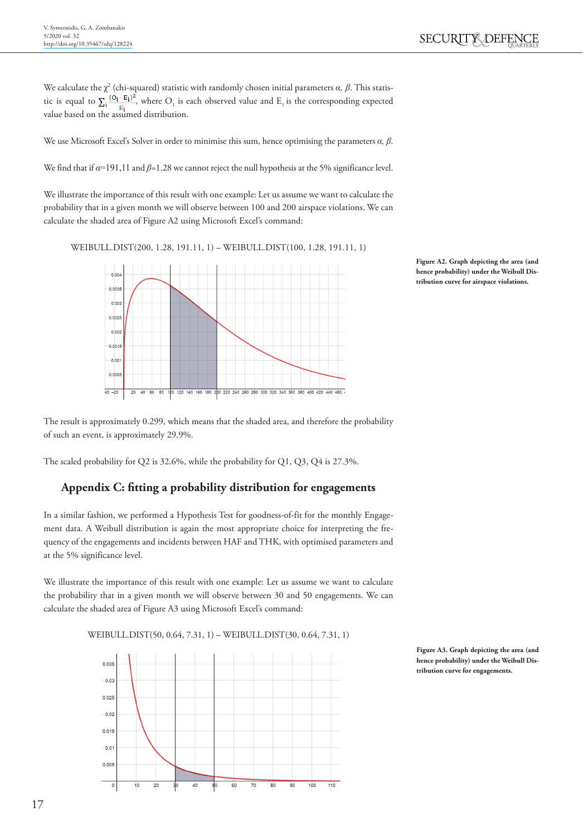We calculate the  $\chi^2$  (chi-squared) statistic with randomly chosen initial parameters  $\alpha$ ,  $\beta$ . This statistic is equal to  $\sum_i \frac{(O_1 - E_1)}{E_i}$ , where  $O_1$  is each observed value and  $E_1$  is the corresponding expected value based on the assumed distribution.

We use Microsoft Excel's Solver in order to minimise this sum, hence optimising the parameters *α, β*.

We find that if *α*=191,11 and *β*=1.28 we cannot reject the null hypothesis at the 5% significance level.

We illustrate the importance of this result with one example: Let us assume we want to calculate the probability that in a given month we will observe between 100 and 200 airspace violations. We can calculate the shaded area of Figure A2 using Microsoft Excel's command:

WEIBULL.DIST(200, 1.28, 191.11, 1) – WEIBULL.DIST(100, 1.28, 191.11, 1)





The result is approximately 0.299, which means that the shaded area, and therefore the probability of such an event, is approximately 29.9%.

The scaled probability for Q2 is 32.6%, while the probability for Q1, Q3, Q4 is 27.3%.

#### **Appendix C: fitting a probability distribution for engagements**

In a similar fashion, we performed a Hypothesis Test for goodness-of-fit for the monthly Engagement data. A Weibull distribution is again the most appropriate choice for interpreting the frequency of the engagements and incidents between HAF and THK, with optimised parameters and at the 5% significance level.

We illustrate the importance of this result with one example: Let us assume we want to calculate the probability that in a given month we will observe between 30 and 50 engagements. We can calculate the shaded area of Figure A3 using Microsoft Excel's command:

WEIBULL.DIST(50, 0.64, 7.31, 1) – WEIBULL.DIST(30, 0.64, 7.31, 1)



**Figure A3. Graph depicting the area (and hence probability) under the Weibull Distribution curve for engagements.**